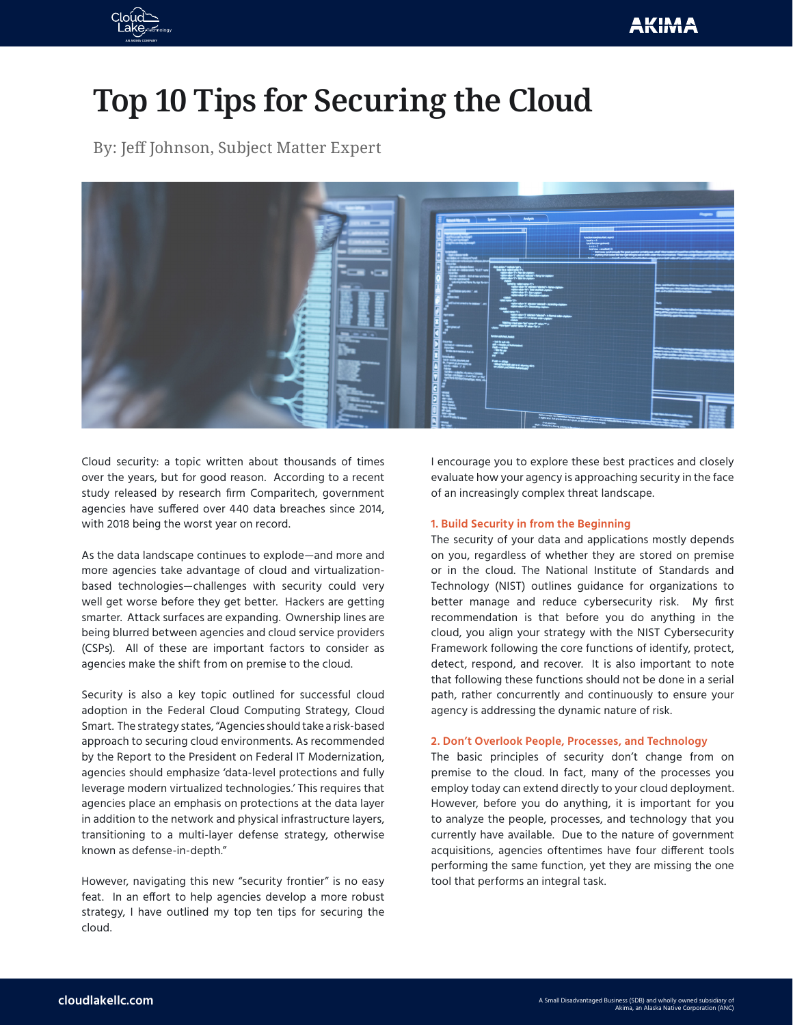

# **Top 10 Tips for Securing the Cloud**

By: Jeff Johnson, Subject Matter Expert



Cloud security: a topic written about thousands of times over the years, but for good reason. According to a recent study released by research firm Comparitech, government agencies have suffered over 440 data breaches since 2014, with 2018 being the worst year on record.

As the data landscape continues to explode—and more and more agencies take advantage of cloud and virtualizationbased technologies—challenges with security could very well get worse before they get better. Hackers are getting smarter. Attack surfaces are expanding. Ownership lines are being blurred between agencies and cloud service providers (CSPs). All of these are important factors to consider as agencies make the shift from on premise to the cloud.

Security is also a key topic outlined for successful cloud adoption in the Federal Cloud Computing Strategy, Cloud Smart. The strategy states, "Agencies should take a risk-based approach to securing cloud environments. As recommended by the Report to the President on Federal IT Modernization, agencies should emphasize 'data-level protections and fully leverage modern virtualized technologies.' This requires that agencies place an emphasis on protections at the data layer in addition to the network and physical infrastructure layers, transitioning to a multi-layer defense strategy, otherwise known as defense-in-depth."

However, navigating this new "security frontier" is no easy feat. In an effort to help agencies develop a more robust strategy, I have outlined my top ten tips for securing the cloud.

I encourage you to explore these best practices and closely evaluate how your agency is approaching security in the face of an increasingly complex threat landscape.

## **1. Build Security in from the Beginning**

The security of your data and applications mostly depends on you, regardless of whether they are stored on premise or in the cloud. The National Institute of Standards and Technology (NIST) outlines guidance for organizations to better manage and reduce cybersecurity risk. My first recommendation is that before you do anything in the cloud, you align your strategy with the NIST Cybersecurity Framework following the core functions of identify, protect, detect, respond, and recover. It is also important to note that following these functions should not be done in a serial path, rather concurrently and continuously to ensure your agency is addressing the dynamic nature of risk.

## **2. Don't Overlook People, Processes, and Technology**

The basic principles of security don't change from on premise to the cloud. In fact, many of the processes you employ today can extend directly to your cloud deployment. However, before you do anything, it is important for you to analyze the people, processes, and technology that you currently have available. Due to the nature of government acquisitions, agencies oftentimes have four different tools performing the same function, yet they are missing the one tool that performs an integral task.